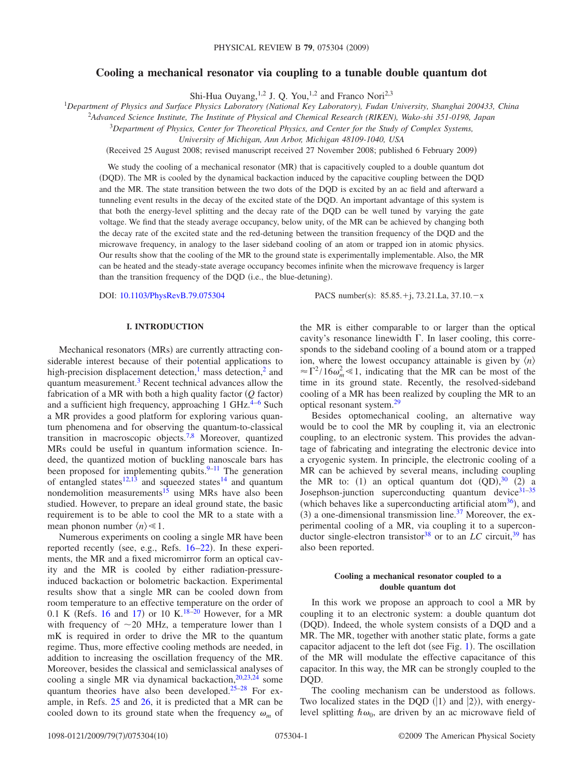## **Cooling a mechanical resonator via coupling to a tunable double quantum dot**

Shi-Hua Ouyang,  $^{1,2}$  J. Q. You,  $^{1,2}$  and Franco Nori<sup>2,3</sup>

1 *Department of Physics and Surface Physics Laboratory (National Key Laboratory), Fudan University, Shanghai 200433, China*

2 *Advanced Science Institute, The Institute of Physical and Chemical Research (RIKEN), Wako-shi 351-0198, Japan*

3 *Department of Physics, Center for Theoretical Physics, and Center for the Study of Complex Systems,*

*University of Michigan, Ann Arbor, Michigan 48109-1040, USA*

(Received 25 August 2008; revised manuscript received 27 November 2008; published 6 February 2009)

We study the cooling of a mechanical resonator (MR) that is capacitively coupled to a double quantum dot (DQD). The MR is cooled by the dynamical backaction induced by the capacitive coupling between the DQD and the MR. The state transition between the two dots of the DQD is excited by an ac field and afterward a tunneling event results in the decay of the excited state of the DQD. An important advantage of this system is that both the energy-level splitting and the decay rate of the DQD can be well tuned by varying the gate voltage. We find that the steady average occupancy, below unity, of the MR can be achieved by changing both the decay rate of the excited state and the red-detuning between the transition frequency of the DQD and the microwave frequency, in analogy to the laser sideband cooling of an atom or trapped ion in atomic physics. Our results show that the cooling of the MR to the ground state is experimentally implementable. Also, the MR can be heated and the steady-state average occupancy becomes infinite when the microwave frequency is larger than the transition frequency of the DQD (i.e., the blue-detuning).

DOI: [10.1103/PhysRevB.79.075304](http://dx.doi.org/10.1103/PhysRevB.79.075304)

:  $85.85.+j$ , 73.21.La, 37.10. $-x$ 

## **I. INTRODUCTION**

<span id="page-0-0"></span>Mechanical resonators (MRs) are currently attracting considerable interest because of their potential applications to high-precision displacement detection, $\frac{1}{2}$  mass detection, $\frac{2}{2}$  and quantum measurement[.3](#page-9-2) Recent technical advances allow the fabrication of a MR with both a high quality factor *Q* factor and a sufficient high frequency, approaching  $1 \text{ GHz}^{4-6}$  Such a MR provides a good platform for exploring various quantum phenomena and for observing the quantum-to-classical transition in macroscopic objects[.7,](#page-9-5)[8](#page-9-6) Moreover, quantized MRs could be useful in quantum information science. Indeed, the quantized motion of buckling nanoscale bars has been proposed for implementing qubits. $9-11$  The generation of entangled states<sup>12,[13](#page-9-10)</sup> and squeezed states<sup>14</sup> and quantum nondemolition measurements $1\overline{5}$  using MRs have also been studied. However, to prepare an ideal ground state, the basic requirement is to be able to cool the MR to a state with a mean phonon number  $\langle n \rangle \ll 1$ .

Numerous experiments on cooling a single MR have been reported recently (see, e.g., Refs. [16](#page-9-13)[–22](#page-9-14)). In these experiments, the MR and a fixed micromirror form an optical cavity and the MR is cooled by either radiation-pressureinduced backaction or bolometric backaction. Experimental results show that a single MR can be cooled down from room temperature to an effective temperature on the order of 0.1 K (Refs. [16](#page-9-13) and [17](#page-9-15)) or 10 K.<sup>18–[20](#page-9-17)</sup> However, for a MR with frequency of  $\sim$ 20 MHz, a temperature lower than 1 mK is required in order to drive the MR to the quantum regime. Thus, more effective cooling methods are needed, in addition to increasing the oscillation frequency of the MR. Moreover, besides the classical and semiclassical analyses of cooling a single MR via dynamical backaction, $20,23,24$  $20,23,24$  $20,23,24$  some quantum theories have also been developed[.25–](#page-9-20)[28](#page-9-21) For example, in Refs. [25](#page-9-20) and [26,](#page-9-22) it is predicted that a MR can be cooled down to its ground state when the frequency  $\omega_m$  of the MR is either comparable to or larger than the optical cavity's resonance linewidth  $\Gamma$ . In laser cooling, this corresponds to the sideband cooling of a bound atom or a trapped ion, where the lowest occupancy attainable is given by  $\langle n \rangle$  $\approx \Gamma^2/16\omega_m^2 \ll 1$ , indicating that the MR can be most of the time in its ground state. Recently, the resolved-sideband cooling of a MR has been realized by coupling the MR to an optical resonant system[.29](#page-9-23)

Besides optomechanical cooling, an alternative way would be to cool the MR by coupling it, via an electronic coupling, to an electronic system. This provides the advantage of fabricating and integrating the electronic device into a cryogenic system. In principle, the electronic cooling of a MR can be achieved by several means, including coupling the MR to: (1) an optical quantum dot  $(QD),^{30}$  $(QD),^{30}$  $(QD),^{30}$  (2) a Josephson-junction superconducting quantum device $31-35$ (which behaves like a superconducting artificial atom $36$ ), and  $(3)$  a one-dimensional transmission line.<sup>37</sup> Moreover, the experimental cooling of a MR, via coupling it to a superconductor single-electron transistor<sup>38</sup> or to an *LC* circuit,<sup>39</sup> has also been reported.

### **Cooling a mechanical resonator coupled to a double quantum dot**

In this work we propose an approach to cool a MR by coupling it to an electronic system: a double quantum dot (DQD). Indeed, the whole system consists of a DQD and a MR. The MR, together with another static plate, forms a gate capacitor adjacent to the left dot (see Fig. [1](#page-1-0)). The oscillation of the MR will modulate the effective capacitance of this capacitor. In this way, the MR can be strongly coupled to the DOD.

The cooling mechanism can be understood as follows. Two localized states in the DQD ( $|1\rangle$  and  $|2\rangle$ ), with energylevel splitting  $\hbar \omega_0$ , are driven by an ac microwave field of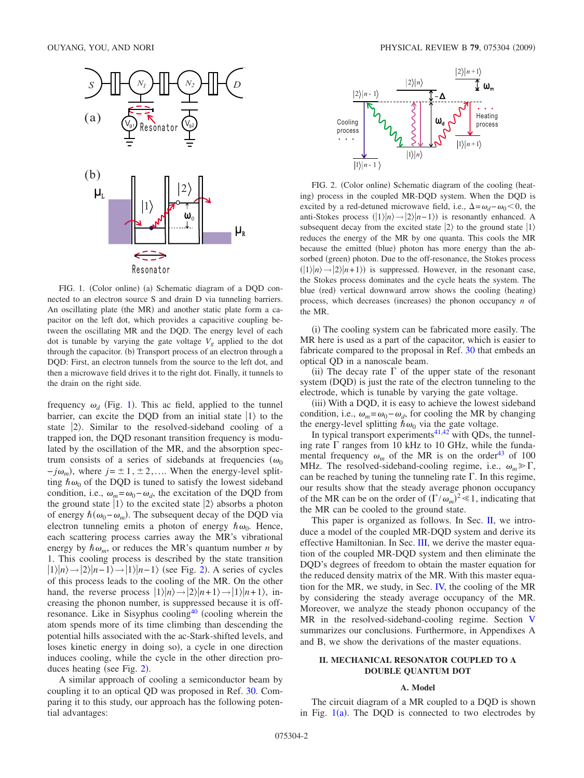<span id="page-1-0"></span>

FIG. 1. (Color online) (a) Schematic diagram of a DQD connected to an electron source S and drain D via tunneling barriers. An oscillating plate (the MR) and another static plate form a capacitor on the left dot, which provides a capacitive coupling between the oscillating MR and the DQD. The energy level of each dot is tunable by varying the gate voltage  $V_{\rho}$  applied to the dot through the capacitor. (b) Transport process of an electron through a DQD: First, an electron tunnels from the source to the left dot, and then a microwave field drives it to the right dot. Finally, it tunnels to the drain on the right side.

frequency  $\omega_d$  (Fig. [1](#page-1-0)). This ac field, applied to the tunnel barrier, can excite the DQD from an initial state  $|1\rangle$  to the state  $|2\rangle$ . Similar to the resolved-sideband cooling of a trapped ion, the DQD resonant transition frequency is modulated by the oscillation of the MR, and the absorption spectrum consists of a series of sidebands at frequencies  $(\omega_0)$  $-j\omega_m$ ), where  $j = \pm 1, \pm 2, \dots$  When the energy-level splitting  $\hbar \omega_0$  of the DQD is tuned to satisfy the lowest sideband condition, i.e.,  $\omega_m = \omega_0 - \omega_d$ , the excitation of the DQD from the ground state  $|1\rangle$  to the excited state  $|2\rangle$  absorbs a photon of energy  $\hbar(\omega_0 - \omega_m)$ . The subsequent decay of the DQD via electron tunneling emits a photon of energy  $\hbar \omega_0$ . Hence, each scattering process carries away the MR's vibrational energy by  $\hbar \omega_m$ , or reduces the MR's quantum number *n* by 1. This cooling process is described by the state transition  $|1\rangle|n\rangle$  →  $|2\rangle|n-1\rangle$  $|2\rangle|n-1\rangle$  $|2\rangle|n-1\rangle$  →  $|1\rangle|n-1\rangle$  (see Fig. 2). A series of cycles of this process leads to the cooling of the MR. On the other hand, the reverse process  $|1\rangle|n\rangle \rightarrow |2\rangle|n+1\rangle \rightarrow |1\rangle|n+1\rangle$ , increasing the phonon number, is suppressed because it is offresonance. Like in Sisyphus cooling $40$  (cooling wherein the atom spends more of its time climbing than descending the potential hills associated with the ac-Stark-shifted levels, and loses kinetic energy in doing so), a cycle in one direction induces cooling, while the cycle in the other direction pro-duces heating (see Fig. [2](#page-1-1)).

A similar approach of cooling a semiconductor beam by coupling it to an optical QD was proposed in Ref. [30.](#page-9-24) Comparing it to this study, our approach has the following potential advantages:

<span id="page-1-1"></span>

FIG. 2. (Color online) Schematic diagram of the cooling (heating) process in the coupled MR-DQD system. When the DQD is excited by a red-detuned microwave field, i.e.,  $\Delta = \omega_d - \omega_0 < 0$ , the anti-Stokes process  $(|1\rangle|n\rangle \rightarrow |2\rangle|n-1\rangle)$  is resonantly enhanced. A subsequent decay from the excited state  $|2\rangle$  to the ground state  $|1\rangle$ reduces the energy of the MR by one quanta. This cools the MR because the emitted (blue) photon has more energy than the absorbed (green) photon. Due to the off-resonance, the Stokes process  $(|1\rangle|n\rangle \rightarrow |2\rangle|n+1\rangle)$  is suppressed. However, in the resonant case, the Stokes process dominates and the cycle heats the system. The blue (red) vertical downward arrow shows the cooling (heating) process, which decreases (increases) the phonon occupancy *n* of the MR.

(i) The cooling system can be fabricated more easily. The MR here is used as a part of the capacitor, which is easier to fabricate compared to the proposal in Ref. [30](#page-9-24) that embeds an optical QD in a nanoscale beam.

(ii) The decay rate  $\Gamma$  of the upper state of the resonant system (DQD) is just the rate of the electron tunneling to the electrode, which is tunable by varying the gate voltage.

(iii) With a DQD, it is easy to achieve the lowest sideband condition, i.e.,  $\omega_m = \omega_0 - \omega_d$ , for cooling the MR by changing the energy-level splitting  $\hbar \omega_0$  via the gate voltage.

In typical transport experiments $41,42$  $41,42$  with QDs, the tunneling rate  $\Gamma$  ranges from 10 kHz to 10 GHz, while the fundamental frequency  $\omega_m$  of the MR is on the order<sup>43</sup> of 100 MHz. The resolved-sideband-cooling regime, i.e.,  $\omega_m \ge \Gamma$ , can be reached by tuning the tunneling rate  $\Gamma$ . In this regime, our results show that the steady average phonon occupancy of the MR can be on the order of  $(\Gamma/\omega_m)^2 \ll 1$ , indicating that the MR can be cooled to the ground state.

This paper is organized as follows. In Sec. [II,](#page-1-2) we introduce a model of the coupled MR-DQD system and derive its effective Hamiltonian. In Sec. [III,](#page-3-0) we derive the master equation of the coupled MR-DQD system and then eliminate the DQD's degrees of freedom to obtain the master equation for the reduced density matrix of the MR. With this master equation for the MR, we study, in Sec. [IV,](#page-4-0) the cooling of the MR by considering the steady average occupancy of the MR. Moreover, we analyze the steady phonon occupancy of the MR in the resolved-sideband-cooling regime. Section [V](#page-7-0) summarizes our conclusions. Furthermore, in Appendixes A and B, we show the derivations of the master equations.

# <span id="page-1-2"></span>**II. MECHANICAL RESONATOR COUPLED TO A DOUBLE QUANTUM DOT**

### **A. Model**

The circuit diagram of a MR coupled to a DQD is shown in Fig.  $1(a)$  $1(a)$ . The DQD is connected to two electrodes by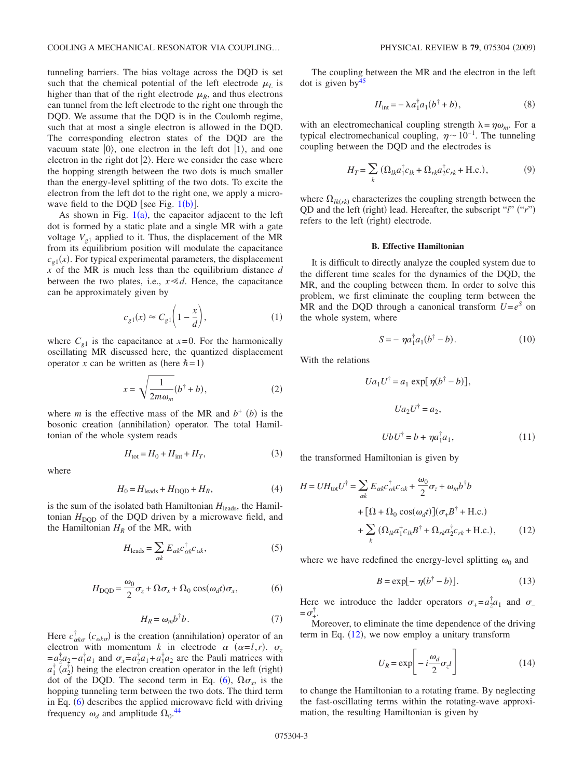tunneling barriers. The bias voltage across the DQD is set such that the chemical potential of the left electrode  $\mu_l$  is higher than that of the right electrode  $\mu_R$ , and thus electrons can tunnel from the left electrode to the right one through the DQD. We assume that the DQD is in the Coulomb regime, such that at most a single electron is allowed in the DQD. The corresponding electron states of the DQD are the vacuum state  $|0\rangle$ , one electron in the left dot  $|1\rangle$ , and one electron in the right dot  $|2\rangle$ . Here we consider the case where the hopping strength between the two dots is much smaller than the energy-level splitting of the two dots. To excite the electron from the left dot to the right one, we apply a microwave field to the DQD [see Fig.  $1(b)$  $1(b)$ ].

As shown in Fig.  $1(a)$  $1(a)$ , the capacitor adjacent to the left dot is formed by a static plate and a single MR with a gate voltage  $V_{g1}$  applied to it. Thus, the displacement of the MR from its equilibrium position will modulate the capacitance  $c_{g1}(x)$ . For typical experimental parameters, the displacement *x* of the MR is much less than the equilibrium distance *d* between the two plates, i.e.,  $x \le d$ . Hence, the capacitance can be approximately given by

$$
c_{g1}(x) \approx C_{g1}\left(1 - \frac{x}{d}\right),\tag{1}
$$

where  $C_{g1}$  is the capacitance at  $x=0$ . For the harmonically oscillating MR discussed here, the quantized displacement operator *x* can be written as (here  $\hbar = 1$ )

$$
x = \sqrt{\frac{1}{2m\omega_m}}(b^{\dagger} + b),
$$
 (2)

where *m* is the effective mass of the MR and  $b^+$  (*b*) is the bosonic creation (annihilation) operator. The total Hamiltonian of the whole system reads

$$
H_{\text{tot}} = H_0 + H_{\text{int}} + H_T,\tag{3}
$$

where

$$
H_0 = H_{\text{leads}} + H_{\text{DQD}} + H_R,\tag{4}
$$

is the sum of the isolated bath Hamiltonian  $H_{\text{leads}}$ , the Hamiltonian  $H_{\text{DOD}}$  of the DQD driven by a microwave field, and the Hamiltonian  $H_R$  of the MR, with

$$
H_{\text{leads}} = \sum_{\alpha k} E_{\alpha k} c_{\alpha k}^{\dagger} c_{\alpha k},\tag{5}
$$

<span id="page-2-0"></span>
$$
H_{\text{DQD}} = \frac{\omega_0}{2} \sigma_z + \Omega \sigma_x + \Omega_0 \cos(\omega_d t) \sigma_x, \tag{6}
$$

$$
H_R = \omega_m b^{\dagger} b. \tag{7}
$$

Here  $c_{\alpha k\sigma}^{\dagger}$  ( $c_{\alpha k\sigma}$ ) is the creation (annihilation) operator of an electron with momentum *k* in electrode  $\alpha$  ( $\alpha = l, r$ ).  $\sigma_z$  $=a_2^{\dagger}a_2 - a_1^{\dagger}a_1$  and  $\sigma_x = a_2^{\dagger}a_1 + a_1^{\dagger}a_2$  are the Pauli matrices with  $a_1^{\dagger}$   $\overline{a_2^{\dagger}}$ ) being the electron creation operator in the left (right) dot of the DQD. The second term in Eq. ([6](#page-2-0)),  $\Omega \sigma_x$ , is the hopping tunneling term between the two dots. The third term in Eq. ([6](#page-2-0)) describes the applied microwave field with driving frequency  $\omega_d$  and amplitude  $\Omega_0$ .<sup>[44](#page-9-35)</sup>

The coupling between the MR and the electron in the left dot is given by  $45$ 

$$
H_{\text{int}} = -\lambda a_1^{\dagger} a_1 (b^{\dagger} + b), \tag{8}
$$

with an electromechanical coupling strength  $\lambda = \eta \omega_m$ . For a typical electromechanical coupling,  $\eta \sim 10^{-1}$ . The tunneling coupling between the DQD and the electrodes is

$$
H_T = \sum_k \left( \Omega_{lk} a_1^\dagger c_{lk} + \Omega_{rk} a_2^\dagger c_{rk} + \text{H.c.} \right),\tag{9}
$$

where  $\Omega_{lk(rk)}$  characterizes the coupling strength between the QD and the left (right) lead. Hereafter, the subscript "*l*" ("*r*") refers to the left (right) electrode.

### **B. Effective Hamiltonian**

It is difficult to directly analyze the coupled system due to the different time scales for the dynamics of the DQD, the MR, and the coupling between them. In order to solve this problem, we first eliminate the coupling term between the MR and the DQD through a canonical transform  $U=e^S$  on the whole system, where

$$
S = -\eta a_1^{\dagger} a_1 (b^{\dagger} - b). \tag{10}
$$

With the relations

$$
Ua_1U^{\dagger} = a_1 \exp[\eta(b^{\dagger} - b)],
$$

$$
Ua_2U^{\dagger} = a_2,
$$

$$
UbU^{\dagger} = b + \eta a_1^{\dagger} a_1,
$$
 (11)

the transformed Hamiltonian is given by

<span id="page-2-1"></span>
$$
H = UH_{\text{tot}}U^{\dagger} = \sum_{\alpha k} E_{\alpha k} c_{\alpha k}^{\dagger} c_{\alpha k} + \frac{\omega_0}{2} \sigma_z + \omega_m b^{\dagger} b
$$
  
+ 
$$
[\Omega + \Omega_0 \cos(\omega_d t)](\sigma_+ B^{\dagger} + \text{H.c.})
$$
  
+ 
$$
\sum_k (\Omega_{lk} a_1^{\dagger} c_{lk} B^{\dagger} + \Omega_{rk} a_2^{\dagger} c_{rk} + \text{H.c.}),
$$
 (12)

where we have redefined the energy-level splitting  $\omega_0$  and

$$
B = \exp[-\eta(b^{\dagger} - b)].
$$
 (13)

<span id="page-2-2"></span>Here we introduce the ladder operators  $\sigma_{+} = a_2^{\dagger} a_1$  and  $\sigma_{-}$  $=\sigma_+^{\dagger}$ .

Moreover, to eliminate the time dependence of the driving term in Eq.  $(12)$  $(12)$  $(12)$ , we now employ a unitary transform

$$
U_R = \exp\left[-i\frac{\omega_d}{2}\sigma_z t\right]
$$
 (14)

to change the Hamiltonian to a rotating frame. By neglecting the fast-oscillating terms within the rotating-wave approximation, the resulting Hamiltonian is given by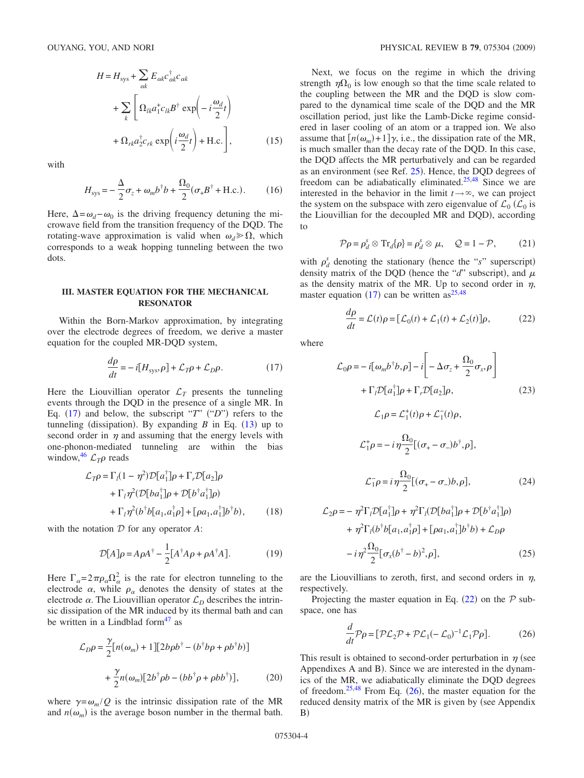$$
H = H_{\text{sys}} + \sum_{\alpha k} E_{\alpha k} c_{\alpha k}^{\dagger} c_{\alpha k}
$$
  
+ 
$$
\sum_{k} \left[ \Omega_{lk} a_{1}^{\dagger} c_{lk} B^{\dagger} \exp\left(-i \frac{\omega_{d}}{2} t\right) + \Omega_{rk} a_{2}^{\dagger} c_{rk} \exp\left(i \frac{\omega_{d}}{2} t\right) + \text{H.c.} \right],
$$
 (15)

with

$$
H_{\rm sys} = -\frac{\Delta}{2}\sigma_z + \omega_m b^{\dagger} b + \frac{\Omega_0}{2} (\sigma_+ B^{\dagger} + \text{H.c.}).
$$
 (16)

Here,  $\Delta = \omega_d - \omega_0$  is the driving frequency detuning the microwave field from the transition frequency of the DQD. The rotating-wave approximation is valid when  $\omega_d \geq \Omega$ , which corresponds to a weak hopping tunneling between the two dots.

## **III. MASTER EQUATION FOR THE MECHANICAL RESONATOR**

<span id="page-3-0"></span>Within the Born-Markov approximation, by integrating over the electrode degrees of freedom, we derive a master equation for the coupled MR-DQD system,

$$
\frac{d\rho}{dt} = -i[H_{\text{sys}}, \rho] + \mathcal{L}_{T}\rho + \mathcal{L}_{D}\rho. \tag{17}
$$

<span id="page-3-1"></span>Here the Liouvillian operator  $\mathcal{L}_T$  presents the tunneling events through the DQD in the presence of a single MR. In Eq.  $(17)$  $(17)$  $(17)$  and below, the subscript "*T*" ("*D*") refers to the tunneling (dissipation). By expanding  $B$  in Eq.  $(13)$  $(13)$  $(13)$  up to second order in  $\eta$  and assuming that the energy levels with one-phonon-mediated tunneling are within the bias window,  $46 \mathcal{L}_T \rho$  reads

$$
\mathcal{L}_{T}\rho = \Gamma_{l}(1 - \eta^{2})\mathcal{D}[a_{1}^{\dagger}]\rho + \Gamma_{r}\mathcal{D}[a_{2}]\rho \n+ \Gamma_{l}\eta^{2}(\mathcal{D}[ba_{1}^{\dagger}]\rho + \mathcal{D}[b^{\dagger}a_{1}^{\dagger}]\rho) \n+ \Gamma_{l}\eta^{2}(b^{\dagger}b[a_{1},a_{1}^{\dagger}\rho] + [\rho a_{1},a_{1}^{\dagger}]b^{\dagger}b),
$$
\n(18)

with the notation  $D$  for any operator  $A$ :

$$
\mathcal{D}[A]\rho = A\rho A^{\dagger} - \frac{1}{2}[A^{\dagger}A\rho + \rho A^{\dagger}A].
$$
 (19)

Here  $\Gamma_{\alpha} = 2\pi \rho_{\alpha} \Omega_{\alpha}^2$  is the rate for electron tunneling to the electrode  $\alpha$ , while  $\rho_{\alpha}$  denotes the density of states at the electrode  $\alpha$ . The Liouvillian operator  $\mathcal{L}_D$  describes the intrinsic dissipation of the MR induced by its thermal bath and can be written in a Lindblad form $47$  as

$$
\mathcal{L}_D \rho = \frac{\gamma}{2} [n(\omega_m) + 1][2b\rho b^\dagger - (b^\dagger b\rho + \rho b^\dagger b)]
$$

$$
+ \frac{\gamma}{2} n(\omega_m) [2b^\dagger \rho b - (bb^\dagger \rho + \rho bb^\dagger)], \tag{20}
$$

where  $\gamma = \omega_m / Q$  is the intrinsic dissipation rate of the MR and  $n(\omega_m)$  is the average boson number in the thermal bath.

Next, we focus on the regime in which the driving strength  $\eta \Omega_0$  is low enough so that the time scale related to the coupling between the MR and the DQD is slow compared to the dynamical time scale of the DQD and the MR oscillation period, just like the Lamb-Dicke regime considered in laser cooling of an atom or a trapped ion. We also assume that  $[n(\omega_m)+1]\gamma$ , i.e., the dissipation rate of the MR, is much smaller than the decay rate of the DQD. In this case, the DQD affects the MR perturbatively and can be regarded as an environment (see Ref. [25](#page-9-20)). Hence, the DQD degrees of freedom can be adiabatically eliminated.<sup>25,[48](#page-9-39)</sup> Since we are interested in the behavior in the limit  $t \rightarrow \infty$ , we can project the system on the subspace with zero eigenvalue of  $\mathcal{L}_0$  ( $\mathcal{L}_0$  is the Liouvillian for the decoupled MR and DQD), according to

$$
\mathcal{P}\rho = \rho_d^s \otimes \operatorname{Tr}_d\{\rho\} = \rho_d^s \otimes \mu, \quad \mathcal{Q} = 1 - \mathcal{P}, \tag{21}
$$

<span id="page-3-2"></span>with  $\rho_d^s$  denoting the stationary (hence the "*s*" superscript) density matrix of the DQD (hence the " $d$ " subscript), and  $\mu$ as the density matrix of the MR. Up to second order in  $\eta$ , master equation  $(17)$  $(17)$  $(17)$  can be written as<sup>25[,48](#page-9-39)</sup>

$$
\frac{d\rho}{dt} = \mathcal{L}(t)\rho = [\mathcal{L}_0(t) + \mathcal{L}_1(t) + \mathcal{L}_2(t)]\rho, \qquad (22)
$$

where

$$
\mathcal{L}_{0}\rho = -i[\omega_{m}b^{\dagger}b,\rho] - i[-\Delta\sigma_{z} + \frac{\Omega_{0}}{2}\sigma_{x},\rho] + \Gamma_{l}\mathcal{D}[a_{1}^{\dagger}]\rho + \Gamma_{r}\mathcal{D}[a_{2}]\rho, \qquad (23)
$$

$$
\mathcal{L}_{1}\rho = \mathcal{L}_{1}^{+}(t)\rho + \mathcal{L}_{1}^{-}(t)\rho, \qquad \mathcal{L}_{1}^{+}\rho = -i\eta \frac{\Omega_{0}}{2}[(\sigma_{+} - \sigma_{-})b^{\dagger},\rho], \qquad \mathcal{L}_{1}^{-}\rho = i\eta \frac{\Omega_{0}}{2}[(\sigma_{+} - \sigma_{-})b,\rho], \qquad (24)
$$

$$
\mathcal{L}_2 \rho = -\eta^2 \Gamma_l \mathcal{D}[a_1^{\dagger}] \rho + \eta^2 \Gamma_l (\mathcal{D}[ba_1^{\dagger}] \rho + \mathcal{D}[b^{\dagger} a_1^{\dagger}] \rho)
$$
  
+  $\eta^2 \Gamma_l (b^{\dagger} b[a_1, a_1^{\dagger} \rho] + [\rho a_1, a_1^{\dagger}] b^{\dagger} b) + \mathcal{L}_D \rho$   
-  $i \eta^2 \frac{\Omega_0}{2} [\sigma_x (b^{\dagger} - b)^2, \rho],$  (25)

are the Liouvillians to zeroth, first, and second orders in  $\eta$ , respectively.

Projecting the master equation in Eq.  $(22)$  $(22)$  $(22)$  on the  $P$  subspace, one has

$$
\frac{d}{dt}\mathcal{P}\rho = [\mathcal{P}\mathcal{L}_2\mathcal{P} + \mathcal{P}\mathcal{L}_1(-\mathcal{L}_0)^{-1}\mathcal{L}_1\mathcal{P}\rho].
$$
\n(26)

<span id="page-3-3"></span>This result is obtained to second-order perturbation in  $\eta$  (see Appendixes A and B). Since we are interested in the dynamics of the MR, we adiabatically eliminate the DQD degrees of freedom. $25,48$  $25,48$  From Eq. ([26](#page-3-3)), the master equation for the reduced density matrix of the MR is given by (see Appendix B)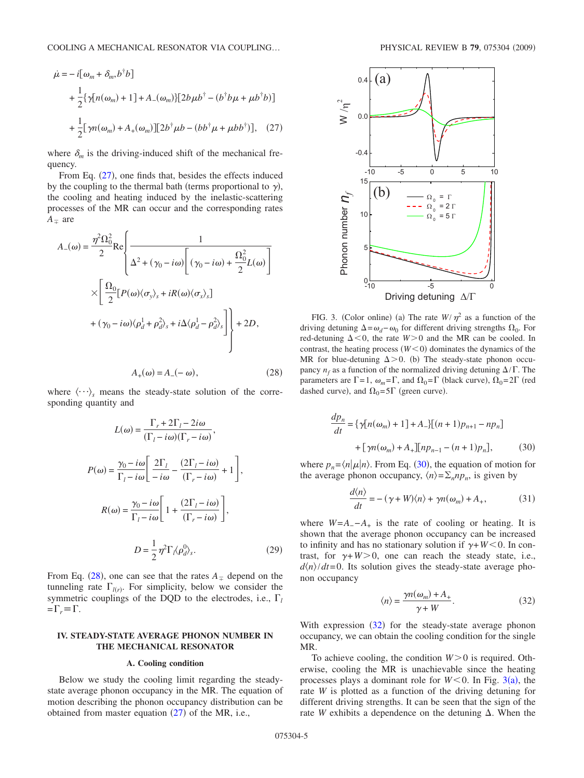<span id="page-4-1"></span>
$$
\dot{\mu} = -i[\omega_m + \delta_m, b^{\dagger}b]
$$
  
+  $\frac{1}{2}$  { $\sqrt{[n(\omega_m) + 1] + A_{-}(\omega_m)}$  }[2b\mu b^{\dagger} - (b^{\dagger}b\mu + \mu b^{\dagger}b)]  
+  $\frac{1}{2}$  [ $\gamma n(\omega_m) + A_{+}(\omega_m)$ ][2b<sup>\dagger</sup>  $\mu b - (bb^{\dagger}\mu + \mu bb^{\dagger})$ ], (27)

where  $\delta_m$  is the driving-induced shift of the mechanical frequency.

From Eq.  $(27)$  $(27)$  $(27)$ , one finds that, besides the effects induced by the coupling to the thermal bath (terms proportional to  $\gamma$ ), the cooling and heating induced by the inelastic-scattering processes of the MR can occur and the corresponding rates  $A -$ are

<span id="page-4-2"></span>
$$
A_{-}(\omega) = \frac{\eta^{2} \Omega_{0}^{2}}{2} \text{Re} \left\{ \frac{1}{\Delta^{2} + (\gamma_{0} - i\omega) \left[ (\gamma_{0} - i\omega) + \frac{\Omega_{0}^{2}}{2} L(\omega) \right]} \right\}
$$

$$
\times \left[ \frac{\Omega_{0}}{2} [P(\omega) \langle \sigma_{y} \rangle_{s} + iR(\omega) \langle \sigma_{x} \rangle_{s}] + (\gamma_{0} - i\omega) \langle \rho_{d}^{1} + \rho_{d}^{2} \rangle_{s} + i\Delta \langle \rho_{d}^{1} - \rho_{d}^{2} \rangle_{s} \right] \right\} + 2D,
$$

$$
A_{+}(\omega) = A_{-}(-\omega), \qquad (28)
$$

where  $\langle \cdots \rangle$  means the steady-state solution of the corresponding quantity and

$$
L(\omega) = \frac{\Gamma_r + 2\Gamma_l - 2i\omega}{(\Gamma_l - i\omega)(\Gamma_r - i\omega)},
$$
  
\n
$$
P(\omega) = \frac{\gamma_0 - i\omega}{\Gamma_l - i\omega} \left[ \frac{2\Gamma_l}{-i\omega} - \frac{(2\Gamma_l - i\omega)}{(\Gamma_r - i\omega)} + 1 \right],
$$
  
\n
$$
R(\omega) = \frac{\gamma_0 - i\omega}{\Gamma_l - i\omega} \left[ 1 + \frac{(2\Gamma_l - i\omega)}{(\Gamma_r - i\omega)} \right],
$$
  
\n
$$
D = \frac{1}{2} \eta^2 \Gamma_l \langle \rho_d^0 \rangle_s. \tag{29}
$$

From Eq. ([28](#page-4-2)), one can see that the rates  $A_{\pm}$  depend on the tunneling rate  $\Gamma_{l(r)}$ . For simplicity, below we consider the symmetric couplings of the DQD to the electrodes, i.e.,  $\Gamma_l$  $=\Gamma$ <sub>r</sub> $=\Gamma$ .

# <span id="page-4-0"></span>**IV. STEADY-STATE AVERAGE PHONON NUMBER IN THE MECHANICAL RESONATOR**

#### **A. Cooling condition**

Below we study the cooling limit regarding the steadystate average phonon occupancy in the MR. The equation of motion describing the phonon occupancy distribution can be obtained from master equation  $(27)$  $(27)$  $(27)$  of the MR, i.e.,

<span id="page-4-5"></span>

FIG. 3. (Color online) (a) The rate  $W/\eta^2$  as a function of the driving detuning  $\Delta = \omega_d - \omega_0$  for different driving strengths  $\Omega_0$ . For red-detuning  $\Delta < 0$ , the rate  $W > 0$  and the MR can be cooled. In contrast, the heating process  $(W<0)$  dominates the dynamics of the MR for blue-detuning  $\Delta > 0$ . (b) The steady-state phonon occupancy  $n_f$  as a function of the normalized driving detuning  $\Delta/\Gamma$ . The parameters are  $\Gamma = 1$ ,  $\omega_m = \Gamma$ , and  $\Omega_0 = \Gamma$  (black curve),  $\Omega_0 = 2\Gamma$  (red dashed curve), and  $\Omega_0 = 5\Gamma$  (green curve).

$$
\frac{dp_n}{dt} = \{ \gamma [n(\omega_m) + 1] + A_{-} \} [(n+1)p_{n+1} - np_n]
$$

$$
+ [\gamma n(\omega_m) + A_{+}] [np_{n-1} - (n+1)p_n], \qquad (30)
$$

<span id="page-4-3"></span>where  $p_n = \langle n | \mu | n \rangle$ . From Eq. ([30](#page-4-3)), the equation of motion for the average phonon occupancy,  $\langle n \rangle = \sum_{n} n p_n$ , is given by

$$
\frac{d\langle n\rangle}{dt} = -\left(\gamma + W\right)\langle n\rangle + \gamma n(\omega_m) + A_+, \tag{31}
$$

where  $W = A_ - A_+$  is the rate of cooling or heating. It is shown that the average phonon occupancy can be increased to infinity and has no stationary solution if  $\gamma + W < 0$ . In contrast, for  $\gamma$ +*W*>0, one can reach the steady state, i.e.,  $d\langle n \rangle/dt = 0$ . Its solution gives the steady-state average phonon occupancy

$$
\langle n \rangle = \frac{\gamma n(\omega_m) + A_+}{\gamma + W}.\tag{32}
$$

<span id="page-4-4"></span>With expression  $(32)$  $(32)$  $(32)$  for the steady-state average phonon occupancy, we can obtain the cooling condition for the single MR.

To achieve cooling, the condition  $W>0$  is required. Otherwise, cooling the MR is unachievable since the heating processes plays a dominant role for  $W < 0$ . In Fig. [3](#page-4-5)(a), the rate *W* is plotted as a function of the driving detuning for different driving strengths. It can be seen that the sign of the rate *W* exhibits a dependence on the detuning  $\Delta$ . When the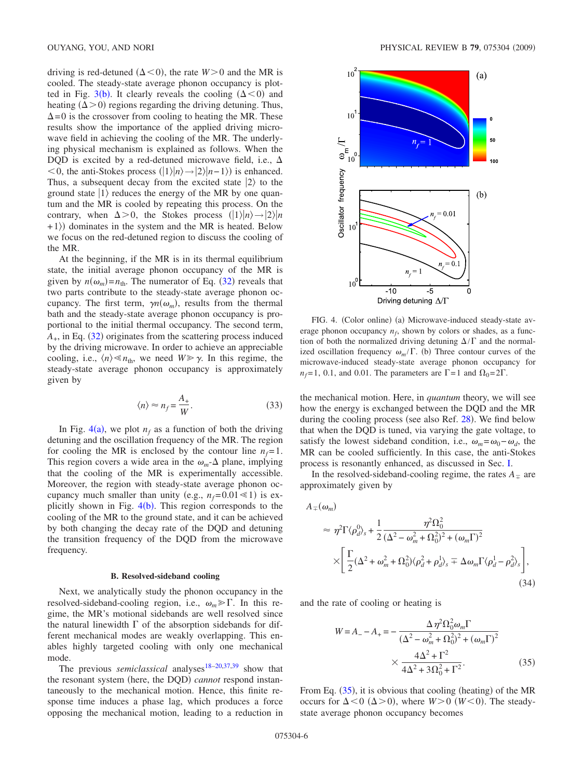driving is red-detuned  $(\Delta < 0)$ , the rate  $W > 0$  and the MR is cooled. The steady-state average phonon occupancy is plot-ted in Fig. [3](#page-4-5)(b). It clearly reveals the cooling  $(\Delta < 0)$  and heating  $(\Delta > 0)$  regions regarding the driving detuning. Thus,  $\Delta = 0$  is the crossover from cooling to heating the MR. These results show the importance of the applied driving microwave field in achieving the cooling of the MR. The underlying physical mechanism is explained as follows. When the DQD is excited by a red-detuned microwave field, i.e.,  $\Delta$ <0, the anti-Stokes process  $(|1\rangle|n\rangle \rightarrow |2\rangle|n-1\rangle)$  is enhanced. Thus, a subsequent decay from the excited state  $|2\rangle$  to the ground state  $|1\rangle$  reduces the energy of the MR by one quantum and the MR is cooled by repeating this process. On the contrary, when  $\Delta > 0$ , the Stokes process  $(|1\rangle|n\rangle \rightarrow |2\rangle|n$  $+1$ ) dominates in the system and the MR is heated. Below we focus on the red-detuned region to discuss the cooling of the MR.

At the beginning, if the MR is in its thermal equilibrium state, the initial average phonon occupancy of the MR is given by  $n(\omega_m) = n_{\text{th}}$ . The numerator of Eq. ([32](#page-4-4)) reveals that two parts contribute to the steady-state average phonon occupancy. The first term,  $\gamma n(\omega_m)$ , results from the thermal bath and the steady-state average phonon occupancy is proportional to the initial thermal occupancy. The second term,  $A_{+}$ , in Eq. ([32](#page-4-4)) originates from the scattering process induced by the driving microwave. In order to achieve an appreciable cooling, i.e.,  $\langle n \rangle \ll n_{\text{th}}$ , we need  $W \gg \gamma$ . In this regime, the steady-state average phonon occupancy is approximately given by

$$
\langle n \rangle \approx n_f = \frac{A_+}{W}.\tag{33}
$$

In Fig. [4](#page-5-0)(a), we plot  $n_f$  as a function of both the driving detuning and the oscillation frequency of the MR. The region for cooling the MR is enclosed by the contour line  $n_f = 1$ . This region covers a wide area in the  $\omega_m$ - $\Delta$  plane, implying that the cooling of the MR is experimentally accessible. Moreover, the region with steady-state average phonon occupancy much smaller than unity (e.g.,  $n_f = 0.01 \le 1$ ) is explicitly shown in Fig.  $4(b)$  $4(b)$ . This region corresponds to the cooling of the MR to the ground state, and it can be achieved by both changing the decay rate of the DQD and detuning the transition frequency of the DQD from the microwave frequency.

#### **B. Resolved-sideband cooling**

Next, we analytically study the phonon occupancy in the resolved-sideband-cooling region, i.e.,  $\omega_m \ge \Gamma$ . In this regime, the MR's motional sidebands are well resolved since the natural linewidth  $\Gamma$  of the absorption sidebands for different mechanical modes are weakly overlapping. This enables highly targeted cooling with only one mechanical mode.

The previous *semiclassical* analyses<sup>18[–20](#page-9-17)[,37,](#page-9-28)[39](#page-9-30)</sup> show that the resonant system (here, the DQD) cannot respond instantaneously to the mechanical motion. Hence, this finite response time induces a phase lag, which produces a force opposing the mechanical motion, leading to a reduction in

<span id="page-5-0"></span>

FIG. 4. (Color online) (a) Microwave-induced steady-state average phonon occupancy  $n_f$ , shown by colors or shades, as a function of both the normalized driving detuning  $\Delta/\Gamma$  and the normalized oscillation frequency  $\omega_m/\Gamma$ . (b) Three contour curves of the microwave-induced steady-state average phonon occupancy for  $n_f$ =1, 0.1, and 0.01. The parameters are  $\Gamma$ =1 and  $\Omega_0$ =2 $\Gamma$ .

the mechanical motion. Here, in *quantum* theory, we will see how the energy is exchanged between the DQD and the MR during the cooling process (see also Ref.  $28$ ). We find below that when the DQD is tuned, via varying the gate voltage, to satisfy the lowest sideband condition, i.e.,  $\omega_m = \omega_0 - \omega_d$ , the MR can be cooled sufficiently. In this case, the anti-Stokes process is resonantly enhanced, as discussed in Sec. [I.](#page-0-0)

In the resolved-sideband-cooling regime, the rates  $A_{\pm}$  are approximately given by

<span id="page-5-2"></span>
$$
A_{\mp}(\omega_m)
$$
  
\n
$$
\approx \eta^2 \Gamma \langle \rho_d^0 \rangle_s + \frac{1}{2} \frac{\eta^2 \Omega_0^2}{(\Delta^2 - \omega_m^2 + \Omega_0^2)^2 + (\omega_m \Gamma)^2}
$$
  
\n
$$
\times \left[ \frac{\Gamma}{2} (\Delta^2 + \omega_m^2 + \Omega_0^2) \langle \rho_d^2 + \rho_d^1 \rangle_s \mp \Delta \omega_m \Gamma \langle \rho_d^1 - \rho_d^2 \rangle_s \right],
$$
\n(34)

<span id="page-5-1"></span>and the rate of cooling or heating is

$$
W = A_{-} - A_{+} = -\frac{\Delta \eta^{2} \Omega_{0}^{2} \omega_{m} \Gamma}{(\Delta^{2} - \omega_{m}^{2} + \Omega_{0}^{2})^{2} + (\omega_{m} \Gamma)^{2}} \times \frac{4\Delta^{2} + \Gamma^{2}}{4\Delta^{2} + 3\Omega_{0}^{2} + \Gamma^{2}}.
$$
 (35)

From Eq. ([35](#page-5-1)), it is obvious that cooling (heating) of the MR occurs for  $\Delta < 0$  ( $\Delta > 0$ ), where *W* > 0 (*W* < 0). The steadystate average phonon occupancy becomes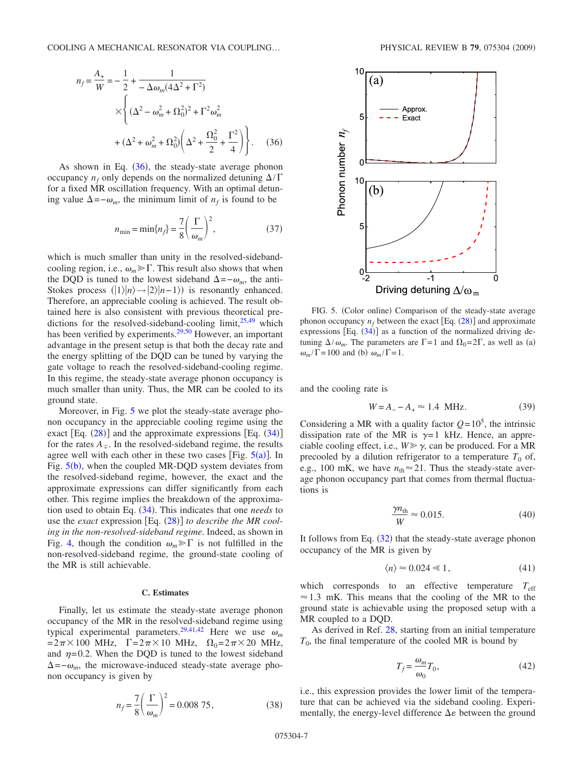$$
n_f = \frac{A_+}{W} = -\frac{1}{2} + \frac{1}{-\Delta\omega_m(4\Delta^2 + \Gamma^2)} \times \left\{ (\Delta^2 - \omega_m^2 + \Omega_0^2)^2 + \Gamma^2 \omega_m^2 + (\Delta^2 + \omega_m^2 + \Omega_0^2) \left( \Delta^2 + \frac{\Omega_0^2}{2} + \frac{\Gamma^2}{4} \right) \right\}.
$$
 (36)

As shown in Eq.  $(36)$  $(36)$  $(36)$ , the steady-state average phonon occupancy  $n_f$  only depends on the normalized detuning  $\Delta/\Gamma$ for a fixed MR oscillation frequency. With an optimal detuning value  $\Delta = -\omega_m$ , the minimum limit of  $n_f$  is found to be

$$
n_{\min} = \min\{n_f\} = \frac{7}{8} \left(\frac{\Gamma}{\omega_m}\right)^2,\tag{37}
$$

which is much smaller than unity in the resolved-sidebandcooling region, i.e.,  $\omega_m \ge \Gamma$ . This result also shows that when the DQD is tuned to the lowest sideband  $\Delta = -\omega_m$ , the anti-Stokes process  $(|1\rangle|n\rangle \rightarrow |2\rangle|n-1\rangle)$  is resonantly enhanced. Therefore, an appreciable cooling is achieved. The result obtained here is also consistent with previous theoretical predictions for the resolved-sideband-cooling limit, $25,49$  $25,49$  which has been verified by experiments.<sup>29[,50](#page-9-41)</sup> However, an important advantage in the present setup is that both the decay rate and the energy splitting of the DQD can be tuned by varying the gate voltage to reach the resolved-sideband-cooling regime. In this regime, the steady-state average phonon occupancy is much smaller than unity. Thus, the MR can be cooled to its ground state.

Moreover, in Fig. [5](#page-6-0) we plot the steady-state average phonon occupancy in the appreciable cooling regime using the exact  $[Eq. (28)]$  $[Eq. (28)]$  $[Eq. (28)]$  and the approximate expressions  $[Eq. (34)]$  $[Eq. (34)]$  $[Eq. (34)]$ for the rates  $A_{\pm}$ . In the resolved-sideband regime, the results agree well with each other in these two cases [Fig.  $5(a)$  $5(a)$ ]. In Fig.  $5(b)$  $5(b)$ , when the coupled MR-DQD system deviates from the resolved-sideband regime, however, the exact and the approximate expressions can differ significantly from each other. This regime implies the breakdown of the approxima-tion used to obtain Eq. ([34](#page-5-2)). This indicates that one *needs* to use the *exact* expression [Eq. ([28](#page-4-2))] to describe the MR cool*ing in the non-resolved-sideband regime*. Indeed, as shown in Fig. [4,](#page-5-0) though the condition  $\omega_m \geq \Gamma$  is not fulfilled in the non-resolved-sideband regime, the ground-state cooling of the MR is still achievable.

### **C. Estimates**

Finally, let us estimate the steady-state average phonon occupancy of the MR in the resolved-sideband regime using typical experimental parameters.<sup>29,[41](#page-9-32)[,42](#page-9-33)</sup> Here we use  $\omega_m$  $= 2\pi \times 100$  MHz,  $\Gamma = 2\pi \times 10$  MHz,  $\Omega_0 = 2\pi \times 20$  MHz, and  $\eta = 0.2$ . When the DQD is tuned to the lowest sideband  $\Delta = -\omega_m$ , the microwave-induced steady-state average phonon occupancy is given by

$$
n_f = \frac{7}{8} \left(\frac{\Gamma}{\omega_m}\right)^2 = 0.008\ 75,\tag{38}
$$

<span id="page-6-0"></span>

FIG. 5. (Color online) Comparison of the steady-state average phonon occupancy  $n_f$  between the exact [Eq.  $(28)$  $(28)$  $(28)$ ] and approximate expressions  $[Eq. (34)]$  $[Eq. (34)]$  $[Eq. (34)]$  as a function of the normalized driving detuning  $\Delta/\omega_m$ . The parameters are  $\Gamma = 1$  and  $\Omega_0 = 2\Gamma$ , as well as (a)  $\omega_m/\Gamma$  = 100 and (b)  $\omega_m/\Gamma$  = 1.

and the cooling rate is

$$
W = A_{-} - A_{+} \approx 1.4 \text{ MHz.}
$$
 (39)

Considering a MR with a quality factor  $Q=10^5$ , the intrinsic dissipation rate of the MR is  $\gamma = 1$  kHz. Hence, an appreciable cooling effect, i.e.,  $W \ge \gamma$ , can be produced. For a MR precooled by a dilution refrigerator to a temperature  $T_0$  of, e.g., 100 mK, we have  $n_{\text{th}} \approx 21$ . Thus the steady-state average phonon occupancy part that comes from thermal fluctuations is

$$
\frac{\gamma n_{\text{th}}}{W} \approx 0.015. \tag{40}
$$

It follows from Eq.  $(32)$  $(32)$  $(32)$  that the steady-state average phonon occupancy of the MR is given by

$$
\langle n \rangle \approx 0.024 \ll 1,\tag{41}
$$

<span id="page-6-1"></span>which corresponds to an effective temperature  $T_{\text{eff}}$  $\approx$  1.3 mK. This means that the cooling of the MR to the ground state is achievable using the proposed setup with a MR coupled to a DQD.

As derived in Ref. [28,](#page-9-21) starting from an initial temperature  $T_0$ , the final temperature of the cooled MR is bound by

$$
T_f = \frac{\omega_m}{\omega_0} T_0,\tag{42}
$$

<span id="page-6-2"></span>i.e., this expression provides the lower limit of the temperature that can be achieved via the sideband cooling. Experimentally, the energy-level difference  $\Delta \varepsilon$  between the ground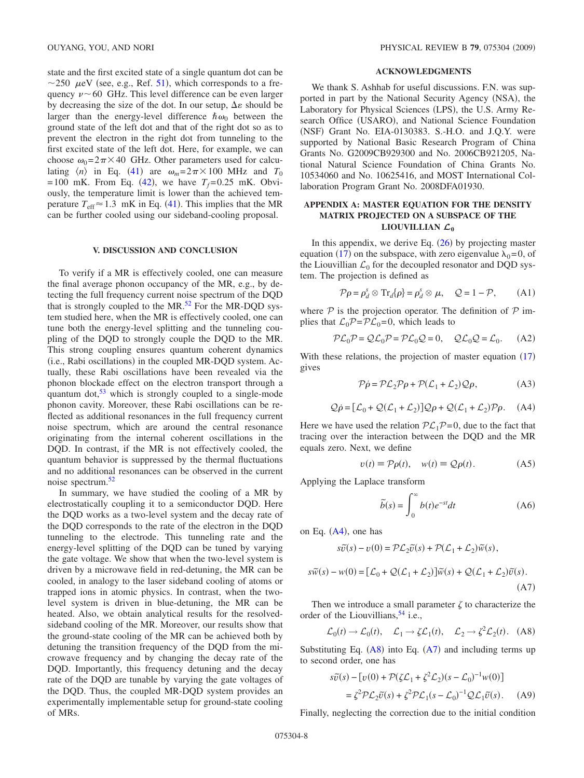state and the first excited state of a single quantum dot can be ~250  $\mu$ eV (see, e.g., Ref. [51](#page-9-42)), which corresponds to a frequency  $\nu \sim 60$  GHz. This level difference can be even larger by decreasing the size of the dot. In our setup,  $\Delta \varepsilon$  should be larger than the energy-level difference  $\hbar \omega_0$  between the ground state of the left dot and that of the right dot so as to prevent the electron in the right dot from tunneling to the first excited state of the left dot. Here, for example, we can choose  $\omega_0 = 2\pi \times 40$  GHz. Other parameters used for calculating  $\langle n \rangle$  in Eq. ([41](#page-6-1)) are  $\omega_m = 2\pi \times 100$  MHz and  $T_0$  $= 100$  mK. From Eq. ([42](#page-6-2)), we have  $T_f = 0.25$  mK. Obviously, the temperature limit is lower than the achieved temperature  $T_{\text{eff}} \approx 1.3 \, \text{mK}$  in Eq. ([41](#page-6-1)). This implies that the MR can be further cooled using our sideband-cooling proposal.

## **V. DISCUSSION AND CONCLUSION**

<span id="page-7-0"></span>To verify if a MR is effectively cooled, one can measure the final average phonon occupancy of the MR, e.g., by detecting the full frequency current noise spectrum of the DQD that is strongly coupled to the  $MR<sup>52</sup>$  For the MR-DQD system studied here, when the MR is effectively cooled, one can tune both the energy-level splitting and the tunneling coupling of the DQD to strongly couple the DQD to the MR. This strong coupling ensures quantum coherent dynamics (i.e., Rabi oscillations) in the coupled MR-DQD system. Actually, these Rabi oscillations have been revealed via the phonon blockade effect on the electron transport through a quantum dot, $53$  which is strongly coupled to a single-mode phonon cavity. Moreover, these Rabi oscillations can be reflected as additional resonances in the full frequency current noise spectrum, which are around the central resonance originating from the internal coherent oscillations in the DQD. In contrast, if the MR is not effectively cooled, the quantum behavior is suppressed by the thermal fluctuations and no additional resonances can be observed in the current noise spectrum[.52](#page-9-43)

In summary, we have studied the cooling of a MR by electrostatically coupling it to a semiconductor DQD. Here the DQD works as a two-level system and the decay rate of the DQD corresponds to the rate of the electron in the DQD tunneling to the electrode. This tunneling rate and the energy-level splitting of the DQD can be tuned by varying the gate voltage. We show that when the two-level system is driven by a microwave field in red-detuning, the MR can be cooled, in analogy to the laser sideband cooling of atoms or trapped ions in atomic physics. In contrast, when the twolevel system is driven in blue-detuning, the MR can be heated. Also, we obtain analytical results for the resolvedsideband cooling of the MR. Moreover, our results show that the ground-state cooling of the MR can be achieved both by detuning the transition frequency of the DQD from the microwave frequency and by changing the decay rate of the DQD. Importantly, this frequency detuning and the decay rate of the DQD are tunable by varying the gate voltages of the DQD. Thus, the coupled MR-DQD system provides an experimentally implementable setup for ground-state cooling of MRs.

### **ACKNOWLEDGMENTS**

We thank S. Ashhab for useful discussions. F.N. was supported in part by the National Security Agency (NSA), the Laboratory for Physical Sciences (LPS), the U.S. Army Research Office (USARO), and National Science Foundation (NSF) Grant No. EIA-0130383. S.-H.O. and J.Q.Y. were supported by National Basic Research Program of China Grants No. G2009CB929300 and No. 2006CB921205, National Natural Science Foundation of China Grants No. 10534060 and No. 10625416, and MOST International Collaboration Program Grant No. 2008DFA01930.

# **APPENDIX A: MASTER EQUATION FOR THE DENSITY MATRIX PROJECTED ON A SUBSPACE OF THE LIOUVILLIAN**  $\mathcal{L}_0$

In this appendix, we derive Eq.  $(26)$  $(26)$  $(26)$  by projecting master equation ([17](#page-3-1)) on the subspace, with zero eigenvalue  $\lambda_0=0$ , of the Liouvillian  $\mathcal{L}_0$  for the decoupled resonator and DQD system. The projection is defined as

$$
\mathcal{P}\rho = \rho_d^s \otimes \operatorname{Tr}_d\{\rho\} = \rho_d^s \otimes \mu, \quad \mathcal{Q} = 1 - \mathcal{P}, \qquad (A1)
$$

where  $P$  is the projection operator. The definition of  $P$  implies that  $\mathcal{L}_0P = \mathcal{PL}_0 = 0$ , which leads to

$$
\mathcal{PL}_0 \mathcal{P} = \mathcal{Q} \mathcal{L}_0 \mathcal{P} = \mathcal{P} \mathcal{L}_0 \mathcal{Q} = 0, \quad \mathcal{Q} \mathcal{L}_0 \mathcal{Q} = \mathcal{L}_0. \tag{A2}
$$

With these relations, the projection of master equation  $(17)$  $(17)$  $(17)$ gives

$$
\mathcal{P}\dot{\rho} = \mathcal{P}\mathcal{L}_2 \mathcal{P}\rho + \mathcal{P}(\mathcal{L}_1 + \mathcal{L}_2) \mathcal{Q}\rho,\tag{A3}
$$

$$
\mathcal{Q}\dot{\rho} = [\mathcal{L}_0 + \mathcal{Q}(\mathcal{L}_1 + \mathcal{L}_2)]\mathcal{Q}\rho + \mathcal{Q}(\mathcal{L}_1 + \mathcal{L}_2)\mathcal{P}\rho. \quad (A4)
$$

<span id="page-7-1"></span>Here we have used the relation  $\mathcal{PL}_1\mathcal{P}=0$ , due to the fact that tracing over the interaction between the DQD and the MR equals zero. Next, we define

$$
v(t) \equiv \mathcal{P}\rho(t), \quad w(t) \equiv \mathcal{Q}\rho(t). \tag{A5}
$$

Applying the Laplace transform

$$
\widetilde{b}(s) = \int_0^\infty b(t)e^{-st}dt
$$
\n(A6)

on Eq.  $(A4)$  $(A4)$  $(A4)$ , one has

<span id="page-7-3"></span>
$$
s\tilde{v}(s) - v(0) = \mathcal{P}\mathcal{L}_2\tilde{v}(s) + \mathcal{P}(\mathcal{L}_1 + \mathcal{L}_2)\tilde{w}(s),
$$
  

$$
s\tilde{w}(s) - w(0) = [\mathcal{L}_0 + \mathcal{Q}(\mathcal{L}_1 + \mathcal{L}_2)]\tilde{w}(s) + \mathcal{Q}(\mathcal{L}_1 + \mathcal{L}_2)\tilde{v}(s).
$$
  
(A7)

Then we introduce a small parameter  $\zeta$  to characterize the order of the Liouvillians,<sup>54</sup> i.e.,

$$
\mathcal{L}_0(t) \to \mathcal{L}_0(t)
$$
,  $\mathcal{L}_1 \to \zeta \mathcal{L}_1(t)$ ,  $\mathcal{L}_2 \to \zeta^2 \mathcal{L}_2(t)$ . (A8)

<span id="page-7-2"></span>Substituting Eq.  $(A8)$  $(A8)$  $(A8)$  into Eq.  $(A7)$  $(A7)$  $(A7)$  and including terms up to second order, one has

$$
s\tilde{v}(s) - [v(0) + \mathcal{P}(\zeta \mathcal{L}_1 + \zeta^2 \mathcal{L}_2)(s - \mathcal{L}_0)^{-1} w(0)]
$$
  
=  $\zeta^2 \mathcal{P} \mathcal{L}_2 \tilde{v}(s) + \zeta^2 \mathcal{P} \mathcal{L}_1 (s - \mathcal{L}_0)^{-1} \mathcal{Q} \mathcal{L}_1 \tilde{v}(s).$  (A9)

Finally, neglecting the correction due to the initial condition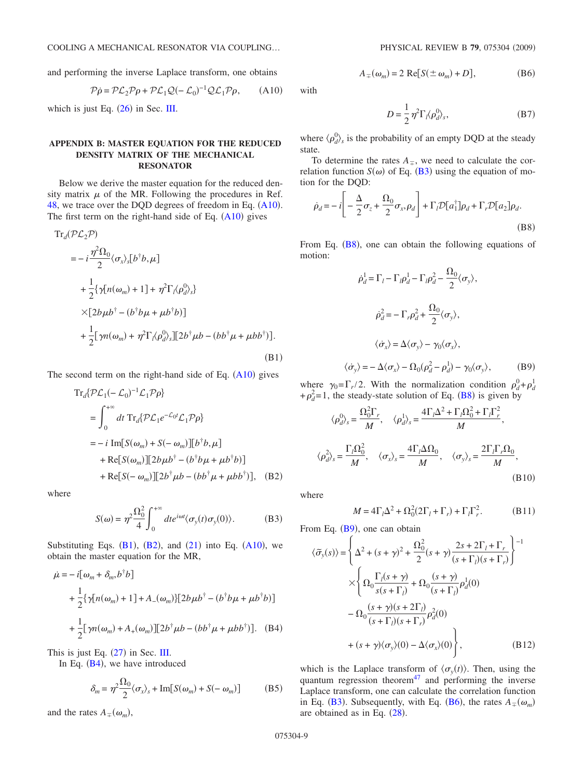and performing the inverse Laplace transform, one obtains

$$
\mathcal{P}\dot{\rho} = \mathcal{P}\mathcal{L}_2 \mathcal{P}\rho + \mathcal{P}\mathcal{L}_1 \mathcal{Q}(-\mathcal{L}_0)^{-1} \mathcal{Q}\mathcal{L}_1 \mathcal{P}\rho, \qquad (A10)
$$

<span id="page-8-0"></span>which is just Eq.  $(26)$  $(26)$  $(26)$  in Sec. [III.](#page-3-0)

# **APPENDIX B: MASTER EQUATION FOR THE REDUCED DENSITY MATRIX OF THE MECHANICAL RESONATOR**

Below we derive the master equation for the reduced density matrix  $\mu$  of the MR. Following the procedures in Ref. [48,](#page-9-39) we trace over the DQD degrees of freedom in Eq.  $(A10)$  $(A10)$  $(A10)$ . The first term on the right-hand side of Eq.  $(A10)$  $(A10)$  $(A10)$  gives

<span id="page-8-1"></span>
$$
Tr_d(\mathcal{P}\mathcal{L}_2 \mathcal{P})
$$
  
=  $-i \frac{\eta^2 \Omega_0}{2} \langle \sigma_x \rangle_s [b^\dagger b, \mu]$   
+  $\frac{1}{2} \{ \gamma [n(\omega_m) + 1] + \eta^2 \Gamma_i \langle \rho_d^0 \rangle_s \}$   
 $\times [2b\mu b^\dagger - (b^\dagger b\mu + \mu b^\dagger b)]$   
+  $\frac{1}{2} [\gamma n(\omega_m) + \eta^2 \Gamma_i \langle \rho_d^0 \rangle_s][2b^\dagger \mu b - (bb^\dagger \mu + \mu b b^\dagger)].$   
(B1)

The second term on the right-hand side of Eq.  $(A10)$  $(A10)$  $(A10)$  gives

$$
\begin{split} \operatorname{Tr}_{d}\{\mathcal{PL}_{1}(-\mathcal{L}_{0})^{-1}\mathcal{L}_{1}\mathcal{P}\rho\} \\ &= \int_{0}^{+\infty} dt \; \operatorname{Tr}_{d}\{\mathcal{PL}_{1}e^{-\mathcal{L}_{0}t}\mathcal{L}_{1}\mathcal{P}\rho\} \\ &= -i \; \operatorname{Im}[S(\omega_{m}) + S(-\omega_{m})][b^{\dagger}b,\mu] \\ &+ \operatorname{Re}[S(\omega_{m})][2b\mu b^{\dagger} - (b^{\dagger}b\mu + \mu b^{\dagger}b)] \\ &+ \operatorname{Re}[S(-\omega_{m})][2b^{\dagger}\mu b - (bb^{\dagger}\mu + \mu bb^{\dagger})], \end{split} \tag{B2}
$$

where

$$
S(\omega) = \eta^2 \frac{\Omega_0^2}{4} \int_0^{+\infty} dt e^{i\omega t} \langle \sigma_y(t) \sigma_y(0) \rangle.
$$
 (B3)

<span id="page-8-3"></span>Substituting Eqs.  $(B1)$  $(B1)$  $(B1)$ ,  $(B2)$  $(B2)$  $(B2)$ , and  $(21)$  $(21)$  $(21)$  into Eq.  $(A10)$  $(A10)$  $(A10)$ , we obtain the master equation for the MR,

<span id="page-8-2"></span>
$$
\dot{\mu} = -i[\omega_m + \delta_m, b^{\dagger}b]
$$
  
+  $\frac{1}{2}\{\gamma[n(\omega_m) + 1] + A_{-}(\omega_m)\}[2b\mu b^{\dagger} - (b^{\dagger}b\mu + \mu b^{\dagger}b)]$   
+  $\frac{1}{2}[\gamma n(\omega_m) + A_{+}(\omega_m)][2b^{\dagger}\mu b - (bb^{\dagger}\mu + \mu bb^{\dagger})].$  (B4)

This is just Eq.  $(27)$  $(27)$  $(27)$  in Sec. [III.](#page-3-0)

In Eq.  $(B4)$  $(B4)$  $(B4)$ , we have introduced

$$
\delta_m = \eta^2 \frac{\Omega_0}{2} \langle \sigma_x \rangle_s + \text{Im}[S(\omega_m) + S(-\omega_m)] \tag{B5}
$$

and the rates  $A_{\pm}(\omega_m)$ ,

$$
A_{\pm}(\omega_m) = 2 \text{ Re}[S(\pm \omega_m) + D], \tag{B6}
$$

<span id="page-8-6"></span>with

$$
D = \frac{1}{2} \eta^2 \Gamma_l \langle \rho_d^0 \rangle_s, \tag{B7}
$$

where  $\langle \rho_d^0 \rangle_s$  is the probability of an empty DQD at the steady state.

To determine the rates  $A_{\pm}$ , we need to calculate the correlation function  $S(\omega)$  of Eq. ([B3](#page-8-3)) using the equation of motion for the DQD:

<span id="page-8-4"></span>
$$
\dot{\rho}_d = -i \left[ -\frac{\Delta}{2} \sigma_z + \frac{\Omega_0}{2} \sigma_x, \rho_d \right] + \Gamma_l \mathcal{D}[a_1^{\dagger}] \rho_d + \Gamma_r \mathcal{D}[a_2] \rho_d.
$$
\n(B8)

<span id="page-8-5"></span>From Eq.  $(B8)$  $(B8)$  $(B8)$ , one can obtain the following equations of motion:

$$
\dot{\rho}_d^1 = \Gamma_l - \Gamma_l \rho_d^1 - \Gamma_l \rho_d^2 - \frac{\Omega_0}{2} \langle \sigma_y \rangle,
$$
  

$$
\dot{\rho}_d^2 = - \Gamma_r \rho_d^2 + \frac{\Omega_0}{2} \langle \sigma_y \rangle,
$$
  

$$
\langle \dot{\sigma}_x \rangle = \Delta \langle \sigma_y \rangle - \gamma_0 \langle \sigma_x \rangle,
$$
  

$$
\langle \dot{\sigma}_y \rangle = - \Delta \langle \sigma_x \rangle - \Omega_0 (\rho_d^2 - \rho_d^1) - \gamma_0 \langle \sigma_y \rangle,
$$
 (B9)

where  $\gamma_0 = \Gamma_r/2$ . With the normalization condition  $\rho_d^0 + \rho_d^1$  $+\rho_d^2 = 1$ , the steady-state solution of Eq. ([B8](#page-8-4)) is given by

$$
\langle \rho_d^0 \rangle_s = \frac{\Omega_0^2 \Gamma_r}{M}, \quad \langle \rho_d^1 \rangle_s = \frac{4\Gamma_l \Delta^2 + \Gamma_l \Omega_0^2 + \Gamma_l \Gamma_r^2}{M},
$$

$$
\langle \rho_d^2 \rangle_s = \frac{\Gamma_l \Omega_0^2}{M}, \quad \langle \sigma_x \rangle_s = \frac{4\Gamma_l \Delta \Omega_0}{M}, \quad \langle \sigma_y \rangle_s = \frac{2\Gamma_l \Gamma_r \Omega_0}{M},
$$
(B10)

where

$$
M = 4\Gamma_l \Delta^2 + \Omega_0^2 (2\Gamma_l + \Gamma_r) + \Gamma_l \Gamma_r^2. \tag{B11}
$$

From Eq. ([B9](#page-8-5)), one can obtain

$$
\langle \tilde{\sigma}_y(s) \rangle = \left\{ \Delta^2 + (s + \gamma)^2 + \frac{\Omega_0^2}{2} (s + \gamma) \frac{2s + 2\Gamma_l + \Gamma_r}{(s + \Gamma_l)(s + \Gamma_r)} \right\}^{-1}
$$

$$
\times \left\{ \Omega_0 \frac{\Gamma_l(s + \gamma)}{s(s + \Gamma_l)} + \Omega_0 \frac{(s + \gamma)}{(s + \Gamma_l)} \rho_d^1(0) -\Omega_0 \frac{(s + \gamma)(s + 2\Gamma_l)}{(s + \Gamma_l)(s + \Gamma_r)} \rho_d^2(0) + (s + \gamma)(\sigma_y)(0) - \Delta(\sigma_x)(0) \right\}, \tag{B12}
$$

which is the Laplace transform of  $\langle \sigma_y(t) \rangle$ . Then, using the quantum regression theorem<sup>47</sup> and performing the inverse Laplace transform, one can calculate the correlation function in Eq. ([B3](#page-8-3)). Subsequently, with Eq. ([B6](#page-8-6)), the rates  $A_{\mp}(\omega_m)$ are obtained as in Eq.  $(28)$  $(28)$  $(28)$ .